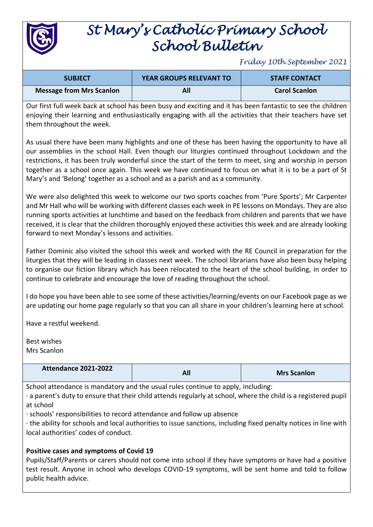

# *St Mary's Catholic Primary School School Bulletin*

*Friday 10th September 2021*

| <b>SUBJECT</b>                  | <b>YEAR GROUPS RELEVANT TO</b> | <b>STAFF CONTACT</b> |
|---------------------------------|--------------------------------|----------------------|
| <b>Message from Mrs Scanlon</b> |                                | <b>Carol Scanlon</b> |

Our first full week back at school has been busy and exciting and it has been fantastic to see the children enjoying their learning and enthusiastically engaging with all the activities that their teachers have set them throughout the week.

As usual there have been many highlights and one of these has been having the opportunity to have all our assemblies in the school Hall. Even though our liturgies continued throughout Lockdown and the restrictions, it has been truly wonderful since the start of the term to meet, sing and worship in person together as a school once again. This week we have continued to focus on what it is to be a part of St Mary's and 'Belong' together as a school and as a parish and as a community.

We were also delighted this week to welcome our two sports coaches from 'Pure Sports'; Mr Carpenter and Mr Hall who will be working with different classes each week in PE lessons on Mondays. They are also running sports activities at lunchtime and based on the feedback from children and parents that we have received, it is clear that the children thoroughly enjoyed these activities this week and are already looking forward to next Monday's lessons and activities.

Father Dominic also visited the school this week and worked with the RE Council in preparation for the liturgies that they will be leading in classes next week. The school librarians have also been busy helping to organise our fiction library which has been relocated to the heart of the school building, in order to continue to celebrate and encourage the love of reading throughout the school.

I do hope you have been able to see some of these activities/learning/events on our Facebook page as we are updating our home page regularly so that you can all share in your children's learning here at school.

Have a restful weekend.

Best wishes Mrs Scanlon

| <b>Attendance 2021-2022</b> | All | <b>Mrs Scanlon</b> |
|-----------------------------|-----|--------------------|
|                             |     |                    |

School attendance is mandatory and the usual rules continue to apply, including:

· a parent's duty to ensure that their child attends regularly at school, where the child is a registered pupil at school

· schools' responsibilities to record attendance and follow up absence

· the ability for schools and local authorities to issue sanctions, including fixed penalty notices in line with local authorities' codes of conduct.

### **Positive cases and symptoms of Covid 19**

Pupils/Staff/Parents or carers should not come into school if they have symptoms or have had a positive test result. Anyone in school who develops COVID-19 symptoms, will be sent home and told to follow public health advice.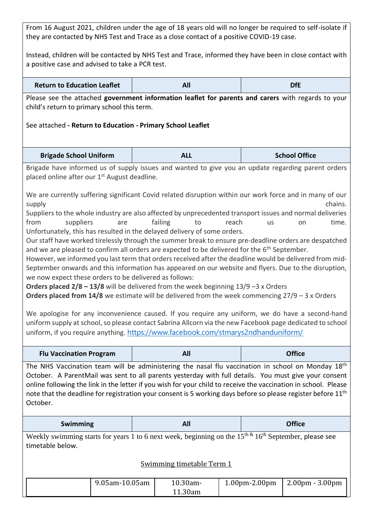From 16 August 2021, children under the age of 18 years old will no longer be required to self-isolate if they are contacted by NHS Test and Trace as a close contact of a positive COVID-19 case.

Instead, children will be contacted by NHS Test and Trace, informed they have been in close contact with a positive case and advised to take a PCR test.

| <b>Return to Education Leaflet</b> |  | DfE |
|------------------------------------|--|-----|
|------------------------------------|--|-----|

Please see the attached **government information leaflet for parents and carers** with regards to your child's return to primary school this term.

## See attached **- Return to Education - Primary School Leaflet**

| <b>Brigade School Uniform</b> | ALL | <b>School Office</b> |
|-------------------------------|-----|----------------------|
|-------------------------------|-----|----------------------|

Brigade have informed us of supply issues and wanted to give you an update regarding parent orders placed online after our 1<sup>st</sup> August deadline.

We are currently suffering significant Covid related disruption within our work force and in many of our supply the chains. The chains of the chains of the chains of the chains of the chains.

Suppliers to the whole industry are also affected by unprecedented transport issues and normal deliveries from suppliers are failing to reach us on time. Unfortunately, this has resulted in the delayed delivery of some orders.

Our staff have worked tirelessly through the summer break to ensure pre-deadline orders are despatched and we are pleased to confirm all orders are expected to be delivered for the 6<sup>th</sup> September.

However, we informed you last term that orders received after the deadline would be delivered from mid-September onwards and this information has appeared on our website and flyers. Due to the disruption, we now expect these orders to be delivered as follows:

**Orders placed 2/8 – 13/8** will be delivered from the week beginning 13/9 –3 x Orders

**Orders placed from 14/8** we estimate will be delivered from the week commencing 27/9 – 3 x Orders

We apologise for any inconvenience caused. If you require any uniform, we do have a second-hand uniform supply at school, so please contact Sabrina Allcorn via the new Facebook page dedicated to school uniform, if you require anything. <https://www.facebook.com/stmarys2ndhanduniform/>

| <b>Flu Vaccination Program</b> | All                                                                                                                                                                                                                                                                                                                                                                                                                                                         | <b>Office</b> |
|--------------------------------|-------------------------------------------------------------------------------------------------------------------------------------------------------------------------------------------------------------------------------------------------------------------------------------------------------------------------------------------------------------------------------------------------------------------------------------------------------------|---------------|
| October.                       | The NHS Vaccination team will be administering the nasal flu vaccination in school on Monday $18th$<br>October. A ParentMail was sent to all parents yesterday with full details. You must give your consent<br>online following the link in the letter if you wish for your child to receive the vaccination in school. Please<br>note that the deadline for registration your consent is 5 working days before so please register before 11 <sup>th</sup> |               |
|                                |                                                                                                                                                                                                                                                                                                                                                                                                                                                             |               |

| <b>Swimming</b> | --- |        |  |
|-----------------|-----|--------|--|
|                 |     | $\sim$ |  |

Weekly swimming starts for years 1 to 6 next week, beginning on the  $15<sup>th</sup>$  &  $16<sup>th</sup>$  September, please see timetable below.

### Swimming timetable Term 1

| 9.05am-10.05am | 10.30am-<br>.1.30am | $1.00pm - 2.00pm$ | $\vert$ 2.00pm - 3.00pm |
|----------------|---------------------|-------------------|-------------------------|
|----------------|---------------------|-------------------|-------------------------|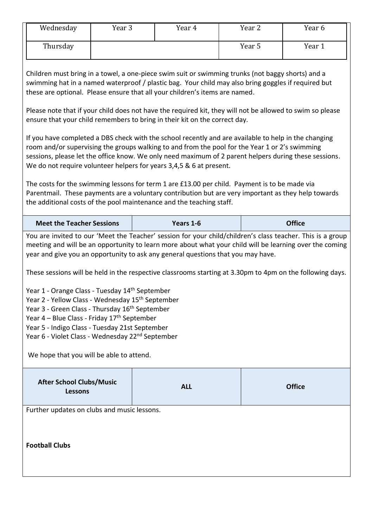| Wednesday | Year 3 | Year 4 | Year 2 | Year 6 |
|-----------|--------|--------|--------|--------|
| Thursday  |        |        | Year 5 | Year 1 |

Children must bring in a towel, a one-piece swim suit or swimming trunks (not baggy shorts) and a swimming hat in a named waterproof / plastic bag. Your child may also bring goggles if required but these are optional. Please ensure that all your children's items are named.

Please note that if your child does not have the required kit, they will not be allowed to swim so please ensure that your child remembers to bring in their kit on the correct day.

If you have completed a DBS check with the school recently and are available to help in the changing room and/or supervising the groups walking to and from the pool for the Year 1 or 2's swimming sessions, please let the office know. We only need maximum of 2 parent helpers during these sessions. We do not require volunteer helpers for years 3,4,5 & 6 at present.

The costs for the swimming lessons for term 1 are £13.00 per child. Payment is to be made via Parentmail. These payments are a voluntary contribution but are very important as they help towards the additional costs of the pool maintenance and the teaching staff.

| <b>Meet the Teacher Sessions</b> | Years 1-6                                                                                                  | <b>Office</b> |
|----------------------------------|------------------------------------------------------------------------------------------------------------|---------------|
|                                  | You are invited to our 'Meet the Teacher' session for your child/children's class teacher. This is a group |               |

meeting and will be an opportunity to learn more about what your child will be learning over the coming year and give you an opportunity to ask any general questions that you may have.

These sessions will be held in the respective classrooms starting at 3.30pm to 4pm on the following days.

Year 1 - Orange Class - Tuesday 14th September

Year 2 - Yellow Class - Wednesday 15<sup>th</sup> September

Year 3 - Green Class - Thursday 16<sup>th</sup> September

Year  $4$  – Blue Class - Friday  $17<sup>th</sup>$  September

Year 5 - Indigo Class - Tuesday 21st September

Year 6 - Violet Class - Wednesday 22<sup>nd</sup> September

We hope that you will be able to attend.

| <b>After School Clubs/Music</b><br><b>Lessons</b> | <b>ALL</b> | <b>Office</b> |
|---------------------------------------------------|------------|---------------|
|---------------------------------------------------|------------|---------------|

Further updates on clubs and music lessons.

**Football Clubs**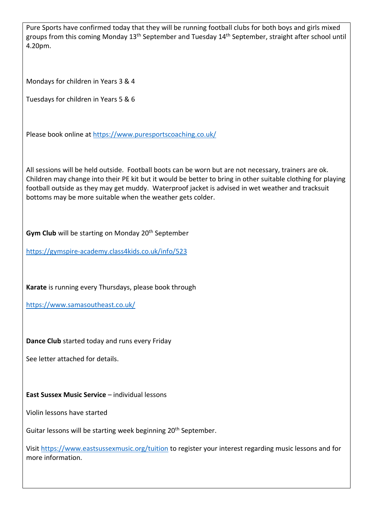Pure Sports have confirmed today that they will be running football clubs for both boys and girls mixed groups from this coming Monday 13<sup>th</sup> September and Tuesday 14<sup>th</sup> September, straight after school until 4.20pm.

Mondays for children in Years 3 & 4

Tuesdays for children in Years 5 & 6

Please book online at<https://www.puresportscoaching.co.uk/>

All sessions will be held outside. Football boots can be worn but are not necessary, trainers are ok. Children may change into their PE kit but it would be better to bring in other suitable clothing for playing football outside as they may get muddy. Waterproof jacket is advised in wet weather and tracksuit bottoms may be more suitable when the weather gets colder.

**Gym Club** will be starting on Monday 20<sup>th</sup> September

<https://gymspire-academy.class4kids.co.uk/info/523>

**Karate** is running every Thursdays, please book through

<https://www.samasoutheast.co.uk/>

**Dance Club** started today and runs every Friday

See letter attached for details.

# **East Sussex Music Service** – individual lessons

Violin lessons have started

Guitar lessons will be starting week beginning 20<sup>th</sup> September.

Visit<https://www.eastsussexmusic.org/tuition> to register your interest regarding music lessons and for more information.